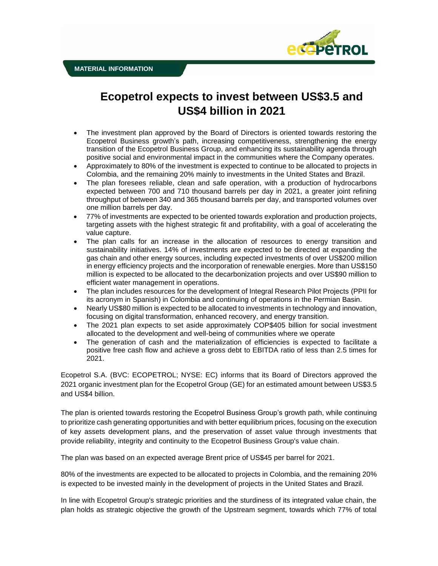

# **Ecopetrol expects to invest between US\$3.5 and US\$4 billion in 2021**

- The investment plan approved by the Board of Directors is oriented towards restoring the Ecopetrol Business growth's path, increasing competitiveness, strengthening the energy transition of the Ecopetrol Business Group, and enhancing its sustainability agenda through positive social and environmental impact in the communities where the Company operates.
- Approximately to 80% of the investment is expected to continue to be allocated to projects in Colombia, and the remaining 20% mainly to investments in the United States and Brazil.
- The plan foresees reliable, clean and safe operation, with a production of hydrocarbons expected between 700 and 710 thousand barrels per day in 2021, a greater joint refining throughput of between 340 and 365 thousand barrels per day, and transported volumes over one million barrels per day.
- 77% of investments are expected to be oriented towards exploration and production projects, targeting assets with the highest strategic fit and profitability, with a goal of accelerating the value capture.
- The plan calls for an increase in the allocation of resources to energy transition and sustainability initiatives. 14% of investments are expected to be directed at expanding the gas chain and other energy sources, including expected investments of over US\$200 million in energy efficiency projects and the incorporation of renewable energies. More than US\$150 million is expected to be allocated to the decarbonization projects and over US\$90 million to efficient water management in operations.
- The plan includes resources for the development of Integral Research Pilot Projects (PPII for its acronym in Spanish) in Colombia and continuing of operations in the Permian Basin.
- Nearly US\$80 million is expected to be allocated to investments in technology and innovation, focusing on digital transformation, enhanced recovery, and energy transition.
- The 2021 plan expects to set aside approximately COP\$405 billion for social investment allocated to the development and well-being of communities where we operate
- The generation of cash and the materialization of efficiencies is expected to facilitate a positive free cash flow and achieve a gross debt to EBITDA ratio of less than 2.5 times for 2021.

Ecopetrol S.A. (BVC: ECOPETROL; NYSE: EC) informs that its Board of Directors approved the 2021 organic investment plan for the Ecopetrol Group (GE) for an estimated amount between US\$3.5 and US\$4 billion.

The plan is oriented towards restoring the Ecopetrol Business Group's growth path, while continuing to prioritize cash generating opportunities and with better equilibrium prices, focusing on the execution of key assets development plans, and the preservation of asset value through investments that provide reliability, integrity and continuity to the Ecopetrol Business Group's value chain.

The plan was based on an expected average Brent price of US\$45 per barrel for 2021.

80% of the investments are expected to be allocated to projects in Colombia, and the remaining 20% is expected to be invested mainly in the development of projects in the United States and Brazil.

In line with Ecopetrol Group's strategic priorities and the sturdiness of its integrated value chain, the plan holds as strategic objective the growth of the Upstream segment, towards which 77% of total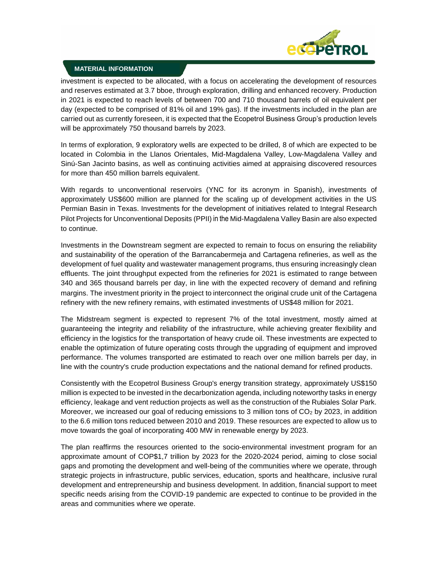

### **MATERIAL INFORMATION**

investment is expected to be allocated, with a focus on accelerating the development of resources and reserves estimated at 3.7 bboe, through exploration, drilling and enhanced recovery. Production in 2021 is expected to reach levels of between 700 and 710 thousand barrels of oil equivalent per day (expected to be comprised of 81% oil and 19% gas). If the investments included in the plan are carried out as currently foreseen, it is expected that the Ecopetrol Business Group's production levels will be approximately 750 thousand barrels by 2023.

In terms of exploration, 9 exploratory wells are expected to be drilled, 8 of which are expected to be located in Colombia in the Llanos Orientales, Mid-Magdalena Valley, Low-Magdalena Valley and Sinú-San Jacinto basins, as well as continuing activities aimed at appraising discovered resources for more than 450 million barrels equivalent.

With regards to unconventional reservoirs (YNC for its acronym in Spanish), investments of approximately US\$600 million are planned for the scaling up of development activities in the US Permian Basin in Texas. Investments for the development of initiatives related to Integral Research Pilot Projects for Unconventional Deposits (PPII) in the Mid-Magdalena Valley Basin are also expected to continue.

Investments in the Downstream segment are expected to remain to focus on ensuring the reliability and sustainability of the operation of the Barrancabermeja and Cartagena refineries, as well as the development of fuel quality and wastewater management programs, thus ensuring increasingly clean effluents. The joint throughput expected from the refineries for 2021 is estimated to range between 340 and 365 thousand barrels per day, in line with the expected recovery of demand and refining margins. The investment priority in the project to interconnect the original crude unit of the Cartagena refinery with the new refinery remains, with estimated investments of US\$48 million for 2021.

The Midstream segment is expected to represent 7% of the total investment, mostly aimed at guaranteeing the integrity and reliability of the infrastructure, while achieving greater flexibility and efficiency in the logistics for the transportation of heavy crude oil. These investments are expected to enable the optimization of future operating costs through the upgrading of equipment and improved performance. The volumes transported are estimated to reach over one million barrels per day, in line with the country's crude production expectations and the national demand for refined products.

Consistently with the Ecopetrol Business Group's energy transition strategy, approximately US\$150 million is expected to be invested in the decarbonization agenda, including noteworthy tasks in energy efficiency, leakage and vent reduction projects as well as the construction of the Rubiales Solar Park. Moreover, we increased our goal of reducing emissions to 3 million tons of  $CO<sub>2</sub>$  by 2023, in addition to the 6.6 million tons reduced between 2010 and 2019. These resources are expected to allow us to move towards the goal of incorporating 400 MW in renewable energy by 2023.

The plan reaffirms the resources oriented to the socio-environmental investment program for an approximate amount of COP\$1,7 trillion by 2023 for the 2020-2024 period, aiming to close social gaps and promoting the development and well-being of the communities where we operate, through strategic projects in infrastructure, public services, education, sports and healthcare, inclusive rural development and entrepreneurship and business development. In addition, financial support to meet specific needs arising from the COVID-19 pandemic are expected to continue to be provided in the areas and communities where we operate.